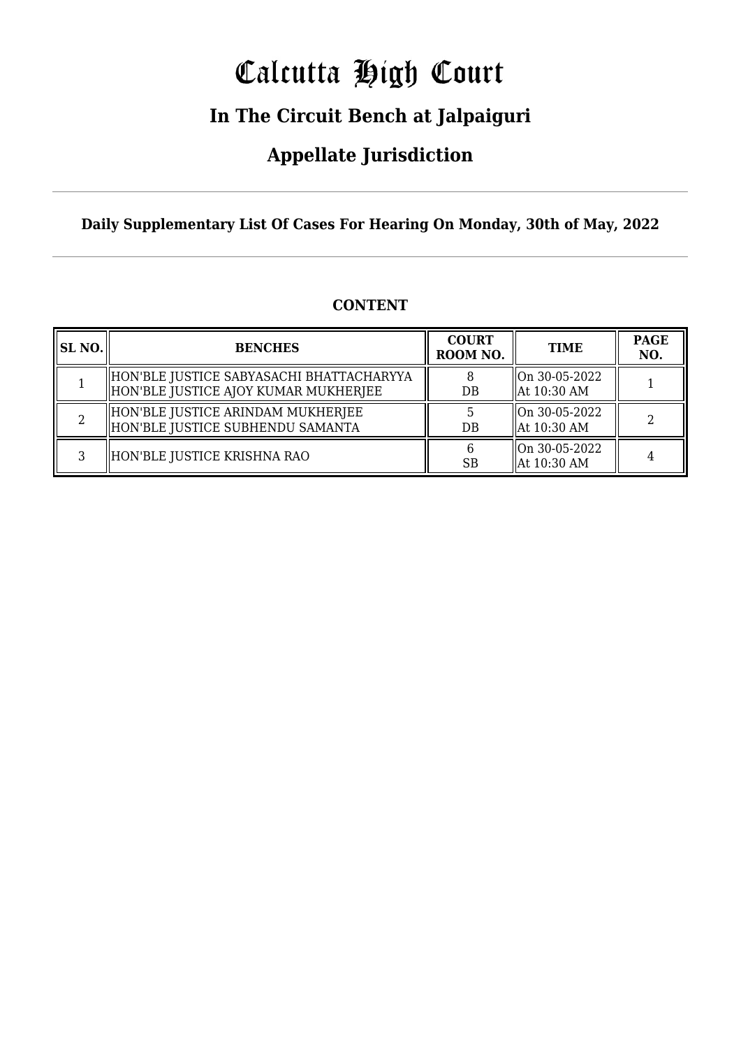# Calcutta High Court

## **In The Circuit Bench at Jalpaiguri**

### **Appellate Jurisdiction**

**Daily Supplementary List Of Cases For Hearing On Monday, 30th of May, 2022**

| <b>CONTENT</b> |  |
|----------------|--|
|                |  |

| <b>SL NO.</b> | <b>BENCHES</b>                                                                    | <b>COURT</b><br>ROOM NO. | <b>TIME</b>                       | <b>PAGE</b><br>NO. |
|---------------|-----------------------------------------------------------------------------------|--------------------------|-----------------------------------|--------------------|
|               | HON'BLE JUSTICE SABYASACHI BHATTACHARYYA <br>HON'BLE JUSTICE AJOY KUMAR MUKHERJEE | DB                       | $ On 30-05-2022$<br>  At 10:30 AM |                    |
|               | HON'BLE JUSTICE ARINDAM MUKHERJEE <br>HON'BLE JUSTICE SUBHENDU SAMANTA            | DB                       | On 30-05-2022<br>  At 10:30 AM    |                    |
|               | HON'BLE JUSTICE KRISHNA RAO                                                       | <b>SB</b>                | On 30-05-2022<br>  At 10:30 AM    |                    |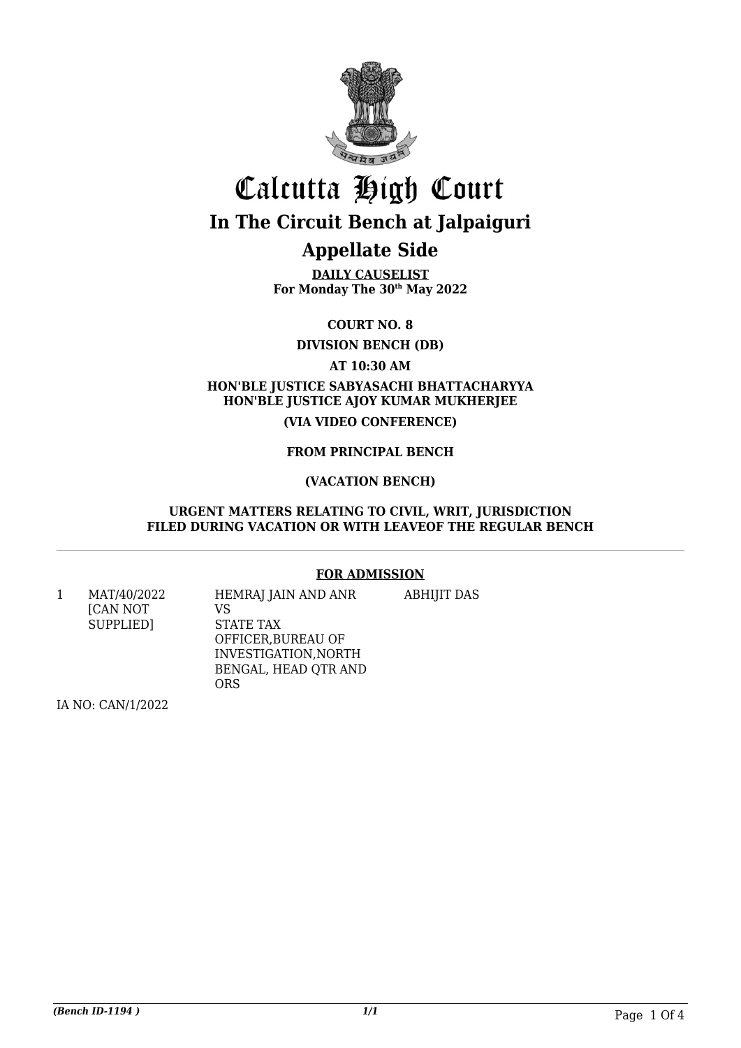

# Calcutta High Court **In The Circuit Bench at Jalpaiguri**

### **Appellate Side**

**DAILY CAUSELIST For Monday The 30th May 2022**

**COURT NO. 8**

**DIVISION BENCH (DB)**

**AT 10:30 AM**

#### **HON'BLE JUSTICE SABYASACHI BHATTACHARYYA HON'BLE JUSTICE AJOY KUMAR MUKHERJEE (VIA VIDEO CONFERENCE)**

#### **FROM PRINCIPAL BENCH**

#### **(VACATION BENCH)**

#### **URGENT MATTERS RELATING TO CIVIL, WRIT, JURISDICTION FILED DURING VACATION OR WITH LEAVEOF THE REGULAR BENCH**

#### **FOR ADMISSION**

1 MAT/40/2022 [CAN NOT SUPPLIED] HEMRAJ JAIN AND ANR VS

ABHIJIT DAS

STATE TAX OFFICER,BUREAU OF INVESTIGATION,NORTH BENGAL, HEAD QTR AND ORS

IA NO: CAN/1/2022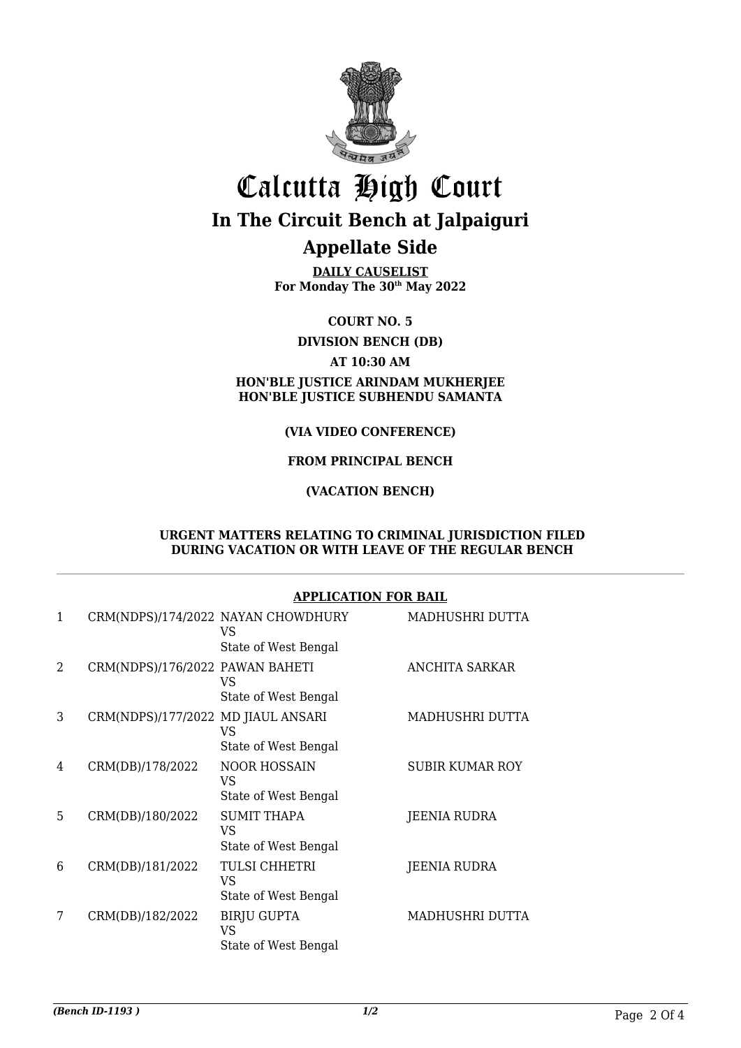

## Calcutta High Court **In The Circuit Bench at Jalpaiguri Appellate Side**

**DAILY CAUSELIST For Monday The 30th May 2022**

**COURT NO. 5**

**DIVISION BENCH (DB)**

#### **AT 10:30 AM**

**HON'BLE JUSTICE ARINDAM MUKHERJEE HON'BLE JUSTICE SUBHENDU SAMANTA**

#### **(VIA VIDEO CONFERENCE)**

#### **FROM PRINCIPAL BENCH**

#### **(VACATION BENCH)**

#### **URGENT MATTERS RELATING TO CRIMINAL JURISDICTION FILED DURING VACATION OR WITH LEAVE OF THE REGULAR BENCH**

#### **APPLICATION FOR BAIL**

| 1              |                                    | CRM(NDPS)/174/2022 NAYAN CHOWDHURY<br>VS<br>State of West Bengal | MADHUSHRI DUTTA        |
|----------------|------------------------------------|------------------------------------------------------------------|------------------------|
| $\overline{2}$ | CRM(NDPS)/176/2022 PAWAN BAHETI    | <b>VS</b><br>State of West Bengal                                | ANCHITA SARKAR         |
| 3              | CRM(NDPS)/177/2022 MD JIAUL ANSARI | VS<br>State of West Bengal                                       | MADHUSHRI DUTTA        |
| 4              | CRM(DB)/178/2022                   | <b>NOOR HOSSAIN</b><br>VS<br>State of West Bengal                | <b>SUBIR KUMAR ROY</b> |
| 5              | CRM(DB)/180/2022                   | <b>SUMIT THAPA</b><br>VS<br>State of West Bengal                 | JEENIA RUDRA           |
| 6              | CRM(DB)/181/2022                   | TULSI CHHETRI<br>VS<br>State of West Bengal                      | <b>JEENIA RUDRA</b>    |
| 7              | CRM(DB)/182/2022                   | <b>BIRJU GUPTA</b><br>VS<br>State of West Bengal                 | MADHUSHRI DUTTA        |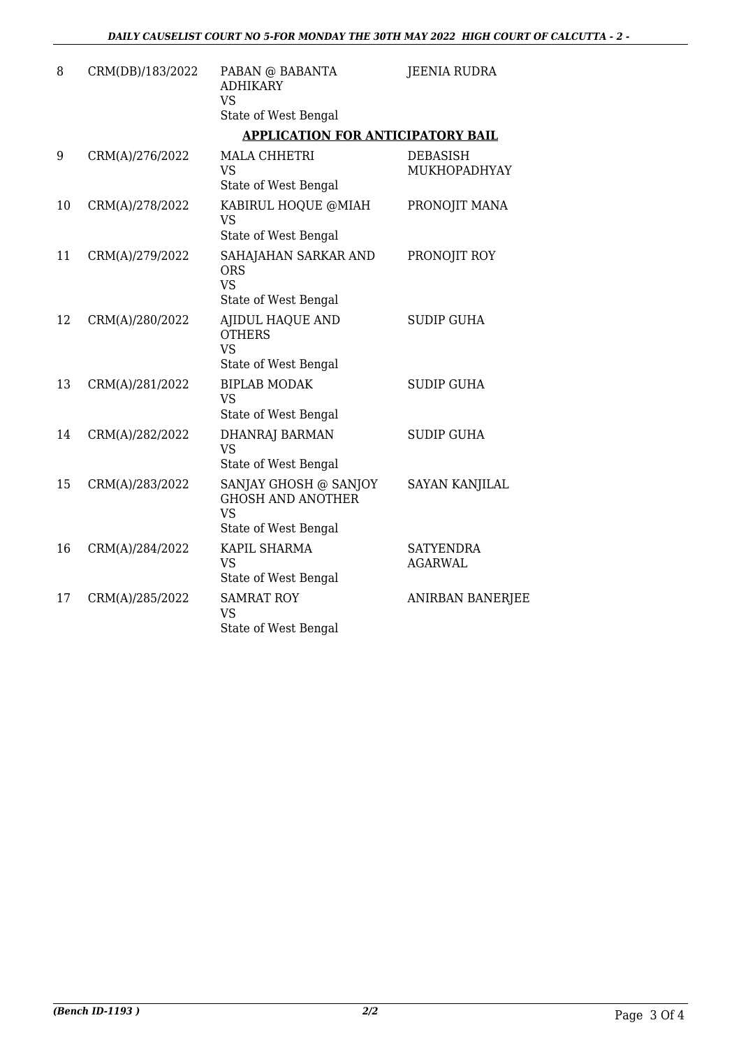| 8  | CRM(DB)/183/2022 | PABAN @ BABANTA<br><b>ADHIKARY</b><br><b>VS</b>                                        | <b>JEENIA RUDRA</b>                |
|----|------------------|----------------------------------------------------------------------------------------|------------------------------------|
|    |                  | State of West Bengal                                                                   |                                    |
|    |                  | <b>APPLICATION FOR ANTICIPATORY BAIL</b>                                               |                                    |
| 9  | CRM(A)/276/2022  | <b>MALA CHHETRI</b><br><b>VS</b>                                                       | <b>DEBASISH</b><br>MUKHOPADHYAY    |
|    |                  | State of West Bengal                                                                   |                                    |
| 10 | CRM(A)/278/2022  | KABIRUL HOQUE @MIAH<br><b>VS</b>                                                       | PRONOJIT MANA                      |
|    |                  | State of West Bengal                                                                   |                                    |
| 11 | CRM(A)/279/2022  | SAHAJAHAN SARKAR AND<br><b>ORS</b><br><b>VS</b><br>State of West Bengal                | PRONOJIT ROY                       |
| 12 | CRM(A)/280/2022  | <b>AJIDUL HAQUE AND</b><br><b>OTHERS</b><br><b>VS</b><br>State of West Bengal          | <b>SUDIP GUHA</b>                  |
| 13 | CRM(A)/281/2022  | <b>BIPLAB MODAK</b><br><b>VS</b><br>State of West Bengal                               | <b>SUDIP GUHA</b>                  |
| 14 | CRM(A)/282/2022  | <b>DHANRAJ BARMAN</b><br><b>VS</b><br>State of West Bengal                             | <b>SUDIP GUHA</b>                  |
| 15 | CRM(A)/283/2022  | SANJAY GHOSH @ SANJOY<br><b>GHOSH AND ANOTHER</b><br><b>VS</b><br>State of West Bengal | <b>SAYAN KANJILAL</b>              |
| 16 | CRM(A)/284/2022  | KAPIL SHARMA<br><b>VS</b><br>State of West Bengal                                      | <b>SATYENDRA</b><br><b>AGARWAL</b> |
| 17 | CRM(A)/285/2022  | <b>SAMRAT ROY</b><br><b>VS</b><br>State of West Bengal                                 | <b>ANIRBAN BANERJEE</b>            |